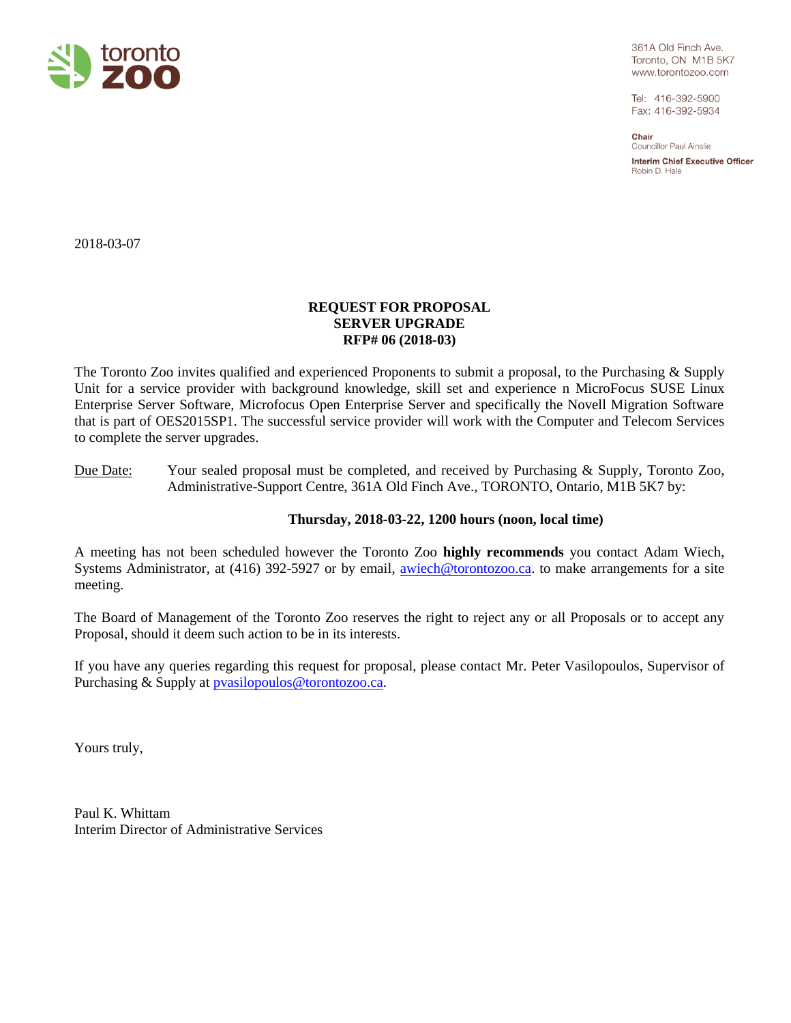

361A Old Finch Ave. Toronto, ON M1B 5K7 www.torontozoo.com

Tel: 416-392-5900 Fax: 416-392-5934

Chair Councillor Paul Ainslie

**Interim Chief Executive Officer** Robin D. Hale

2018-03-07

# **REQUEST FOR PROPOSAL SERVER UPGRADE RFP# 06 (2018-03)**

The Toronto Zoo invites qualified and experienced Proponents to submit a proposal, to the Purchasing & Supply Unit for a service provider with background knowledge, skill set and experience n MicroFocus SUSE Linux Enterprise Server Software, Microfocus Open Enterprise Server and specifically the Novell Migration Software that is part of OES2015SP1. The successful service provider will work with the Computer and Telecom Services to complete the server upgrades.

# Due Date: Your sealed proposal must be completed, and received by Purchasing & Supply, Toronto Zoo, Administrative-Support Centre, 361A Old Finch Ave., TORONTO, Ontario, M1B 5K7 by:

# **Thursday, 2018-03-22, 1200 hours (noon, local time)**

A meeting has not been scheduled however the Toronto Zoo **highly recommends** you contact Adam Wiech, Systems Administrator, at (416) 392-5927 or by email, [awiech@torontozoo.ca.](mailto:awiech@torontozoo.ca) to make arrangements for a site meeting.

The Board of Management of the Toronto Zoo reserves the right to reject any or all Proposals or to accept any Proposal, should it deem such action to be in its interests.

If you have any queries regarding this request for proposal, please contact Mr. Peter Vasilopoulos, Supervisor of Purchasing & Supply at [pvasilopoulos@torontozoo.ca.](mailto:pvasilopoulos@torontozoo.ca)

Yours truly,

Paul K. Whittam Interim Director of Administrative Services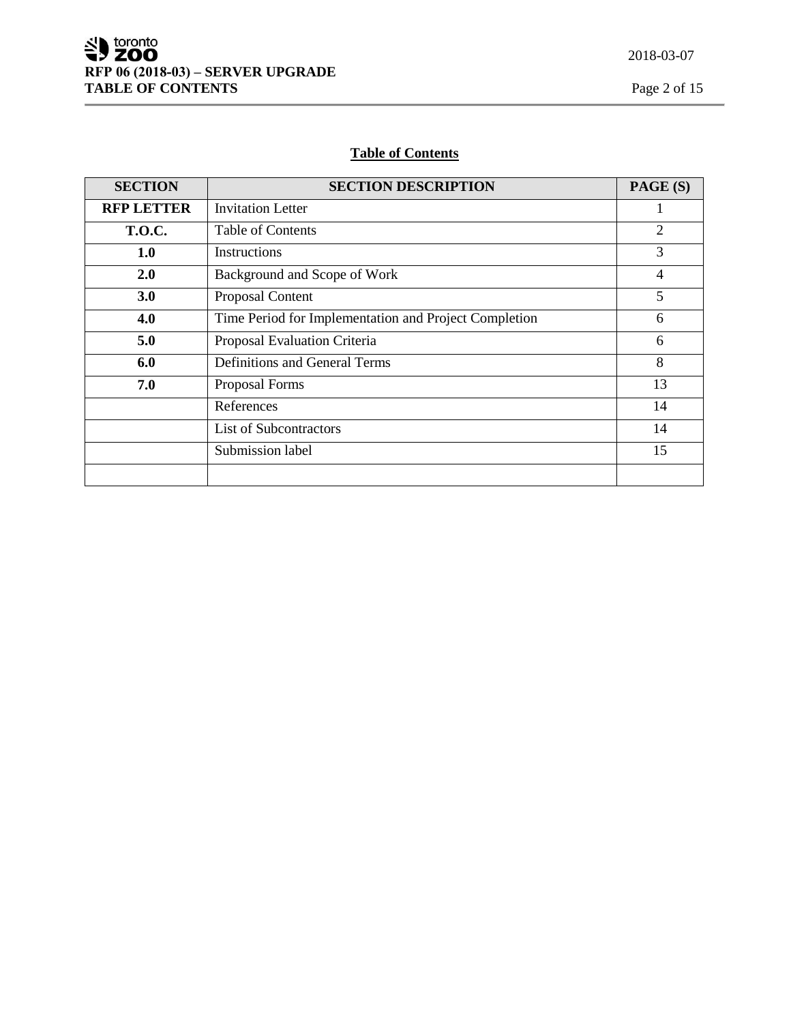Ē

# **Table of Contents**

| <b>SECTION</b>    | <b>SECTION DESCRIPTION</b>                            | PAGE (S) |
|-------------------|-------------------------------------------------------|----------|
| <b>RFP LETTER</b> | <b>Invitation Letter</b>                              |          |
| <b>T.O.C.</b>     | Table of Contents                                     | 2        |
| 1.0               | Instructions                                          | 3        |
| 2.0               | Background and Scope of Work                          | 4        |
| 3.0               | Proposal Content                                      | 5        |
| 4.0               | Time Period for Implementation and Project Completion | 6        |
| 5.0               | Proposal Evaluation Criteria                          | 6        |
| 6.0               | <b>Definitions and General Terms</b>                  | 8        |
| 7.0               | Proposal Forms                                        | 13       |
|                   | References                                            | 14       |
|                   | <b>List of Subcontractors</b>                         | 14       |
|                   | Submission label                                      | 15       |
|                   |                                                       |          |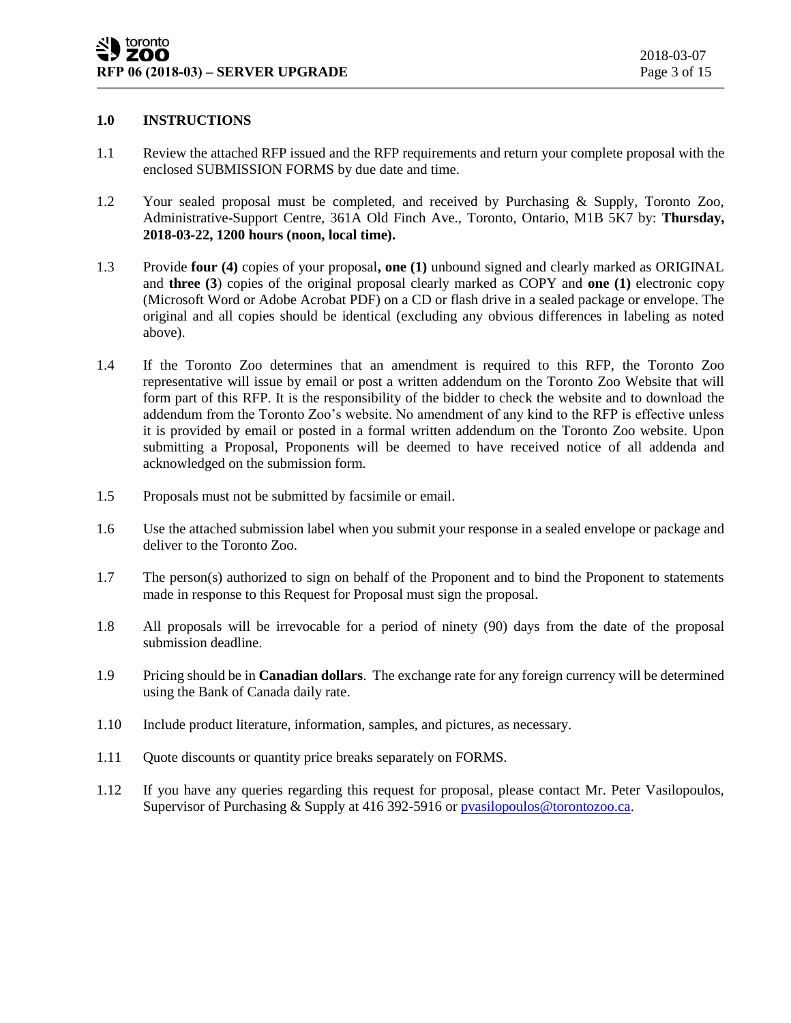# **1.0 INSTRUCTIONS**

- 1.1 Review the attached RFP issued and the RFP requirements and return your complete proposal with the enclosed SUBMISSION FORMS by due date and time.
- 1.2 Your sealed proposal must be completed, and received by Purchasing & Supply, Toronto Zoo, Administrative-Support Centre, 361A Old Finch Ave., Toronto, Ontario, M1B 5K7 by: **Thursday, 2018-03-22, 1200 hours (noon, local time).**
- 1.3 Provide **four (4)** copies of your proposal**, one (1)** unbound signed and clearly marked as ORIGINAL and **three (3**) copies of the original proposal clearly marked as COPY and **one (1)** electronic copy (Microsoft Word or Adobe Acrobat PDF) on a CD or flash drive in a sealed package or envelope. The original and all copies should be identical (excluding any obvious differences in labeling as noted above).
- 1.4 If the Toronto Zoo determines that an amendment is required to this RFP, the Toronto Zoo representative will issue by email or post a written addendum on the Toronto Zoo Website that will form part of this RFP. It is the responsibility of the bidder to check the website and to download the addendum from the Toronto Zoo's website. No amendment of any kind to the RFP is effective unless it is provided by email or posted in a formal written addendum on the Toronto Zoo website. Upon submitting a Proposal, Proponents will be deemed to have received notice of all addenda and acknowledged on the submission form.
- 1.5 Proposals must not be submitted by facsimile or email.
- 1.6 Use the attached submission label when you submit your response in a sealed envelope or package and deliver to the Toronto Zoo.
- 1.7 The person(s) authorized to sign on behalf of the Proponent and to bind the Proponent to statements made in response to this Request for Proposal must sign the proposal.
- 1.8 All proposals will be irrevocable for a period of ninety (90) days from the date of the proposal submission deadline.
- 1.9 Pricing should be in **Canadian dollars**. The exchange rate for any foreign currency will be determined using the Bank of Canada daily rate.
- 1.10 Include product literature, information, samples, and pictures, as necessary.
- 1.11 Quote discounts or quantity price breaks separately on FORMS.
- 1.12 If you have any queries regarding this request for proposal, please contact Mr. Peter Vasilopoulos, Supervisor of Purchasing & Supply at 416 392-5916 o[r pvasilopoulos@torontozoo.ca.](mailto:pvasilopoulos@torontozoo.ca)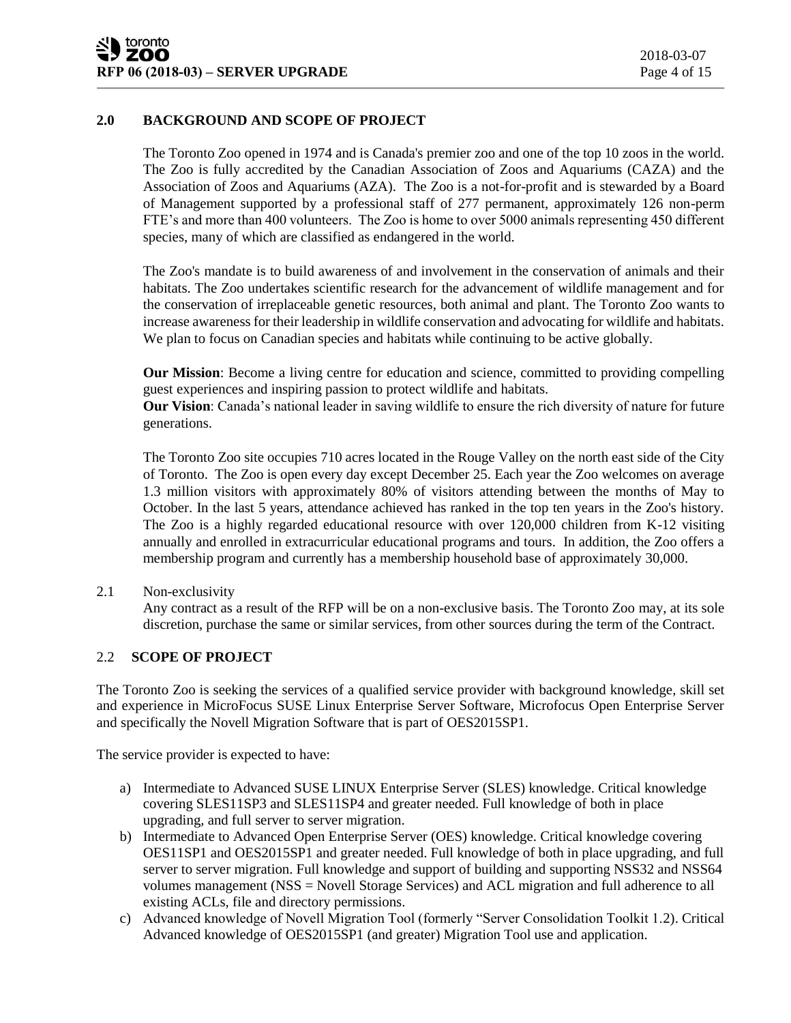# **2.0 BACKGROUND AND SCOPE OF PROJECT**

The Toronto Zoo opened in 1974 and is Canada's premier zoo and one of the top 10 zoos in the world. The Zoo is fully accredited by the Canadian Association of Zoos and Aquariums (CAZA) and the Association of Zoos and Aquariums (AZA). The Zoo is a not-for-profit and is stewarded by a Board of Management supported by a professional staff of 277 permanent, approximately 126 non-perm FTE's and more than 400 volunteers. The Zoo is home to over 5000 animals representing 450 different species, many of which are classified as endangered in the world.

The Zoo's mandate is to build awareness of and involvement in the conservation of animals and their habitats. The Zoo undertakes scientific research for the advancement of wildlife management and for the conservation of irreplaceable genetic resources, both animal and plant. The Toronto Zoo wants to increase awareness for their leadership in wildlife conservation and advocating for wildlife and habitats. We plan to focus on Canadian species and habitats while continuing to be active globally.

**Our Mission**: Become a living centre for education and science, committed to providing compelling guest experiences and inspiring passion to protect wildlife and habitats.

**Our Vision**: Canada's national leader in saving wildlife to ensure the rich diversity of nature for future generations.

The Toronto Zoo site occupies 710 acres located in the Rouge Valley on the north east side of the City of Toronto. The Zoo is open every day except December 25. Each year the Zoo welcomes on average 1.3 million visitors with approximately 80% of visitors attending between the months of May to October. In the last 5 years, attendance achieved has ranked in the top ten years in the Zoo's history. The Zoo is a highly regarded educational resource with over 120,000 children from K-12 visiting annually and enrolled in extracurricular educational programs and tours. In addition, the Zoo offers a membership program and currently has a membership household base of approximately 30,000.

2.1 Non-exclusivity

Any contract as a result of the RFP will be on a non-exclusive basis. The Toronto Zoo may, at its sole discretion, purchase the same or similar services, from other sources during the term of the Contract.

# 2.2 **SCOPE OF PROJECT**

The Toronto Zoo is seeking the services of a qualified service provider with background knowledge, skill set and experience in MicroFocus SUSE Linux Enterprise Server Software, Microfocus Open Enterprise Server and specifically the Novell Migration Software that is part of OES2015SP1.

The service provider is expected to have:

- a) Intermediate to Advanced SUSE LINUX Enterprise Server (SLES) knowledge. Critical knowledge covering SLES11SP3 and SLES11SP4 and greater needed. Full knowledge of both in place upgrading, and full server to server migration.
- b) Intermediate to Advanced Open Enterprise Server (OES) knowledge. Critical knowledge covering OES11SP1 and OES2015SP1 and greater needed. Full knowledge of both in place upgrading, and full server to server migration. Full knowledge and support of building and supporting NSS32 and NSS64 volumes management (NSS = Novell Storage Services) and ACL migration and full adherence to all existing ACLs, file and directory permissions.
- c) Advanced knowledge of Novell Migration Tool (formerly "Server Consolidation Toolkit 1.2). Critical Advanced knowledge of OES2015SP1 (and greater) Migration Tool use and application.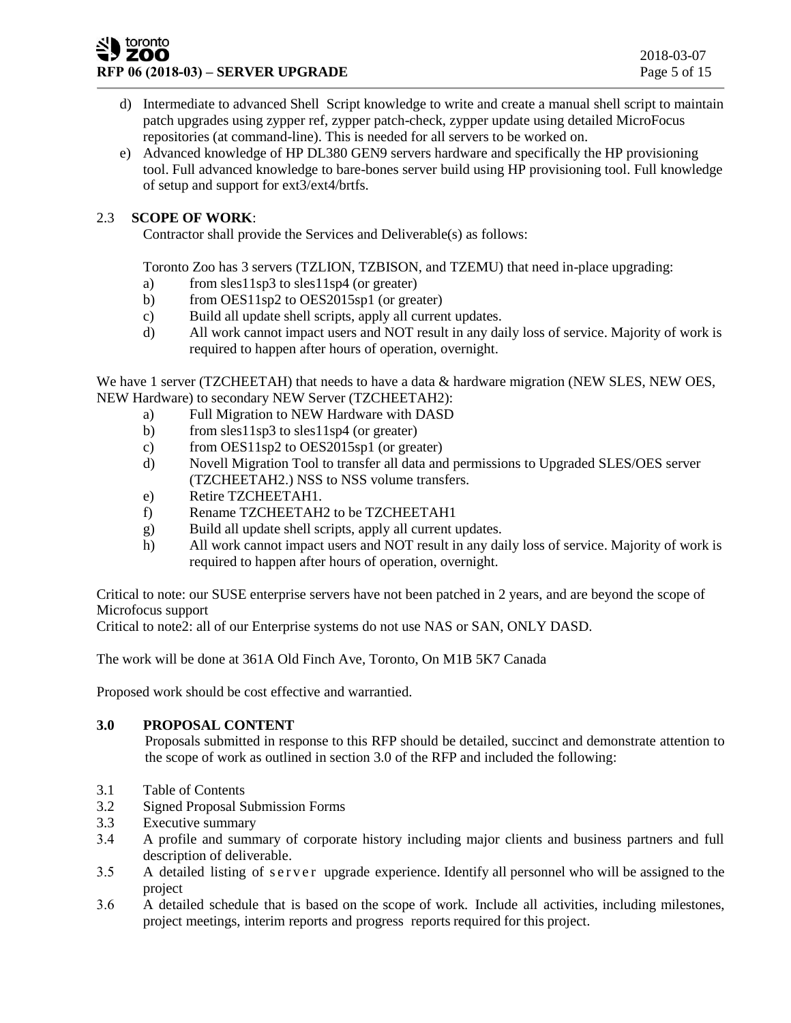#### toronto **ZOO RFP 06 (2018-03) – <b>SERVER UPGRADE** Page 5 of 15

- d) Intermediate to advanced Shell Script knowledge to write and create a manual shell script to maintain patch upgrades using zypper ref, zypper patch-check, zypper update using detailed MicroFocus repositories (at command-line). This is needed for all servers to be worked on.
- e) Advanced knowledge of HP DL380 GEN9 servers hardware and specifically the HP provisioning tool. Full advanced knowledge to bare-bones server build using HP provisioning tool. Full knowledge of setup and support for ext3/ext4/brtfs.

# 2.3 **SCOPE OF WORK**:

Contractor shall provide the Services and Deliverable(s) as follows:

Toronto Zoo has 3 servers (TZLION, TZBISON, and TZEMU) that need in-place upgrading:

- a) from sles11sp3 to sles11sp4 (or greater)
- b) from OES11sp2 to OES2015sp1 (or greater)
- c) Build all update shell scripts, apply all current updates.
- d) All work cannot impact users and NOT result in any daily loss of service. Majority of work is required to happen after hours of operation, overnight.

We have 1 server (TZCHEETAH) that needs to have a data & hardware migration (NEW SLES, NEW OES, NEW Hardware) to secondary NEW Server (TZCHEETAH2):

- a) Full Migration to NEW Hardware with DASD
- b) from sles11sp3 to sles11sp4 (or greater)
- c) from OES11sp2 to OES2015sp1 (or greater)
- d) Novell Migration Tool to transfer all data and permissions to Upgraded SLES/OES server (TZCHEETAH2.) NSS to NSS volume transfers.
- e) Retire TZCHEETAH1.
- f) Rename TZCHEETAH2 to be TZCHEETAH1
- g) Build all update shell scripts, apply all current updates.
- h) All work cannot impact users and NOT result in any daily loss of service. Majority of work is required to happen after hours of operation, overnight.

Critical to note: our SUSE enterprise servers have not been patched in 2 years, and are beyond the scope of Microfocus support

Critical to note2: all of our Enterprise systems do not use NAS or SAN, ONLY DASD.

The work will be done at 361A Old Finch Ave, Toronto, On M1B 5K7 Canada

Proposed work should be cost effective and warrantied.

# **3.0 PROPOSAL CONTENT**

Proposals submitted in response to this RFP should be detailed, succinct and demonstrate attention to the scope of work as outlined in section 3.0 of the RFP and included the following:

- 3.1 Table of Contents
- 3.2 Signed Proposal Submission Forms
- 3.3 Executive summary
- 3.4 A profile and summary of corporate history including major clients and business partners and full description of deliverable.
- 3.5 A detailed listing of server upgrade experience. Identify all personnel who will be assigned to the project
- 3.6 A detailed schedule that is based on the scope of work. Include all activities, including milestones, project meetings, interim reports and progress reports required for this project.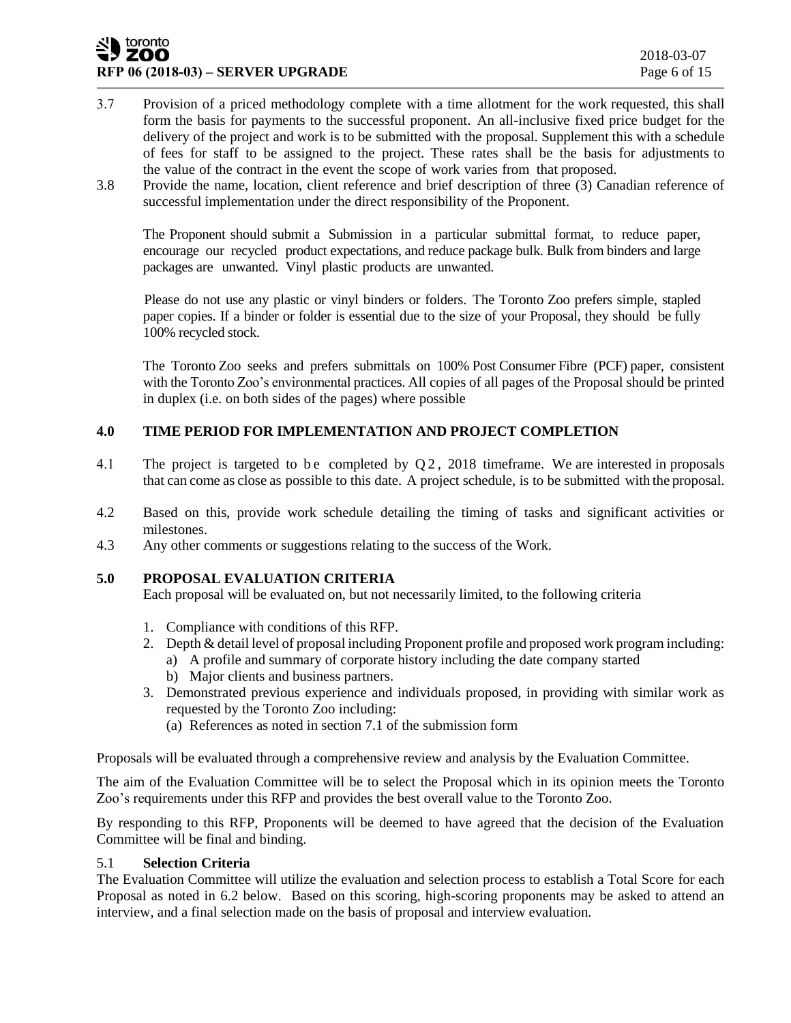#### toronto ZOO **RFP 06 (2018-03) – <b>SERVER UPGRADE** Page 6 of 15

- 3.7 Provision of a priced methodology complete with a time allotment for the work requested, this shall form the basis for payments to the successful proponent. An all-inclusive fixed price budget for the delivery of the project and work is to be submitted with the proposal. Supplement this with a schedule of fees for staff to be assigned to the project. These rates shall be the basis for adjustments to the value of the contract in the event the scope of work varies from that proposed.
- 3.8 Provide the name, location, client reference and brief description of three (3) Canadian reference of successful implementation under the direct responsibility of the Proponent.

The Proponent should submit a Submission in a particular submittal format, to reduce paper, encourage our recycled product expectations, and reduce package bulk. Bulk from binders and large packages are unwanted. Vinyl plastic products are unwanted.

Please do not use any plastic or vinyl binders or folders. The Toronto Zoo prefers simple, stapled paper copies. If a binder or folder is essential due to the size of your Proposal, they should be fully 100% recycled stock.

The Toronto Zoo seeks and prefers submittals on 100% Post Consumer Fibre (PCF) paper, consistent with the Toronto Zoo's environmental practices. All copies of all pages of the Proposal should be printed in duplex (i.e. on both sides of the pages) where possible

# **4.0 TIME PERIOD FOR IMPLEMENTATION AND PROJECT COMPLETION**

- 4.1 The project is targeted to be completed by  $Q2$ , 2018 timeframe. We are interested in proposals that can come as close as possible to this date. A project schedule, is to be submitted with the proposal.
- 4.2 Based on this, provide work schedule detailing the timing of tasks and significant activities or milestones.
- 4.3 Any other comments or suggestions relating to the success of the Work.

# **5.0 PROPOSAL EVALUATION CRITERIA**

Each proposal will be evaluated on, but not necessarily limited, to the following criteria

- 1. Compliance with conditions of this RFP.
- 2. Depth & detail level of proposal including Proponent profile and proposed work program including:
	- a) A profile and summary of corporate history including the date company started
	- b) Major clients and business partners.
- 3. Demonstrated previous experience and individuals proposed, in providing with similar work as requested by the Toronto Zoo including:
	- (a) References as noted in section 7.1 of the submission form

Proposals will be evaluated through a comprehensive review and analysis by the Evaluation Committee.

The aim of the Evaluation Committee will be to select the Proposal which in its opinion meets the Toronto Zoo's requirements under this RFP and provides the best overall value to the Toronto Zoo.

By responding to this RFP, Proponents will be deemed to have agreed that the decision of the Evaluation Committee will be final and binding.

# 5.1 **Selection Criteria**

The Evaluation Committee will utilize the evaluation and selection process to establish a Total Score for each Proposal as noted in 6.2 below. Based on this scoring, high-scoring proponents may be asked to attend an interview, and a final selection made on the basis of proposal and interview evaluation.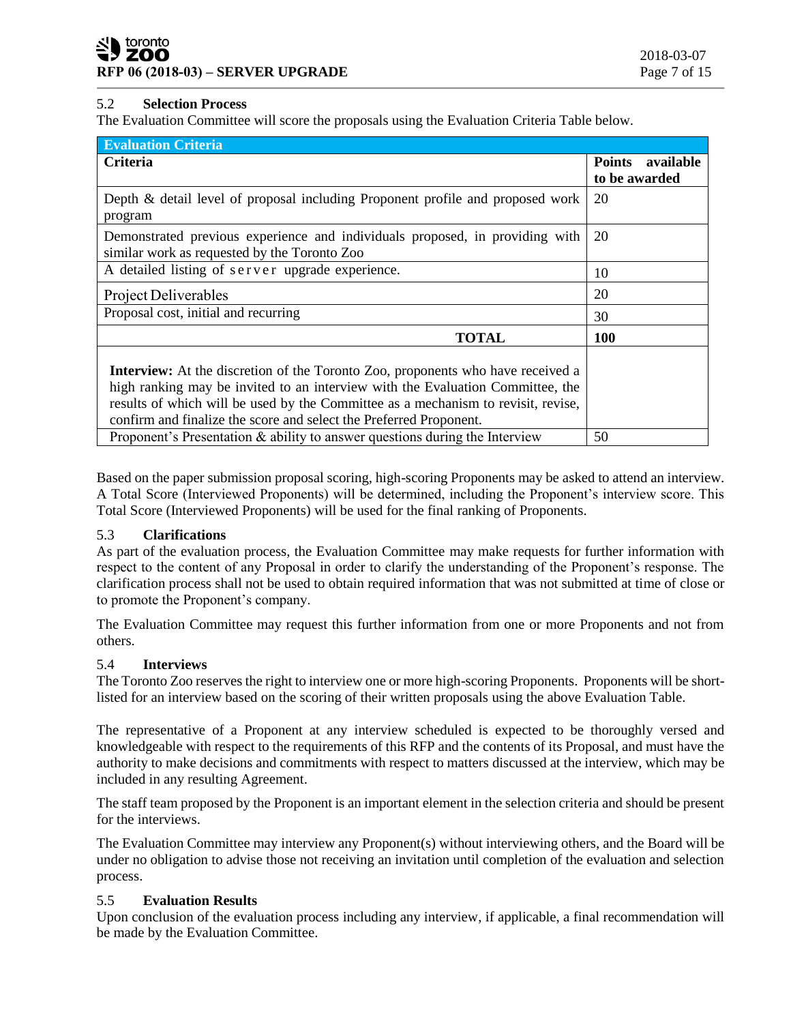# 5.2 **Selection Process**

The Evaluation Committee will score the proposals using the Evaluation Criteria Table below.

| <b>Evaluation Criteria</b>                                                                                                                                                                                                                                                                                                          |                                   |
|-------------------------------------------------------------------------------------------------------------------------------------------------------------------------------------------------------------------------------------------------------------------------------------------------------------------------------------|-----------------------------------|
| <b>Criteria</b>                                                                                                                                                                                                                                                                                                                     | Points available<br>to be awarded |
| Depth & detail level of proposal including Proponent profile and proposed work<br>program                                                                                                                                                                                                                                           | 20                                |
| Demonstrated previous experience and individuals proposed, in providing with<br>similar work as requested by the Toronto Zoo                                                                                                                                                                                                        | 20                                |
| A detailed listing of server upgrade experience.                                                                                                                                                                                                                                                                                    | 10                                |
| <b>Project Deliverables</b>                                                                                                                                                                                                                                                                                                         | 20                                |
| Proposal cost, initial and recurring                                                                                                                                                                                                                                                                                                | 30                                |
| TOTAL                                                                                                                                                                                                                                                                                                                               | 100                               |
| <b>Interview:</b> At the discretion of the Toronto Zoo, proponents who have received a<br>high ranking may be invited to an interview with the Evaluation Committee, the<br>results of which will be used by the Committee as a mechanism to revisit, revise,<br>confirm and finalize the score and select the Preferred Proponent. |                                   |
| Proponent's Presentation $\&$ ability to answer questions during the Interview                                                                                                                                                                                                                                                      | 50                                |

Based on the paper submission proposal scoring, high-scoring Proponents may be asked to attend an interview. A Total Score (Interviewed Proponents) will be determined, including the Proponent's interview score. This Total Score (Interviewed Proponents) will be used for the final ranking of Proponents.

# 5.3 **Clarifications**

As part of the evaluation process, the Evaluation Committee may make requests for further information with respect to the content of any Proposal in order to clarify the understanding of the Proponent's response. The clarification process shall not be used to obtain required information that was not submitted at time of close or to promote the Proponent's company.

The Evaluation Committee may request this further information from one or more Proponents and not from others.

#### 5.4 **Interviews**

The Toronto Zoo reserves the right to interview one or more high-scoring Proponents. Proponents will be shortlisted for an interview based on the scoring of their written proposals using the above Evaluation Table.

The representative of a Proponent at any interview scheduled is expected to be thoroughly versed and knowledgeable with respect to the requirements of this RFP and the contents of its Proposal, and must have the authority to make decisions and commitments with respect to matters discussed at the interview, which may be included in any resulting Agreement.

The staff team proposed by the Proponent is an important element in the selection criteria and should be present for the interviews.

The Evaluation Committee may interview any Proponent(s) without interviewing others, and the Board will be under no obligation to advise those not receiving an invitation until completion of the evaluation and selection process.

# 5.5 **Evaluation Results**

Upon conclusion of the evaluation process including any interview, if applicable, a final recommendation will be made by the Evaluation Committee.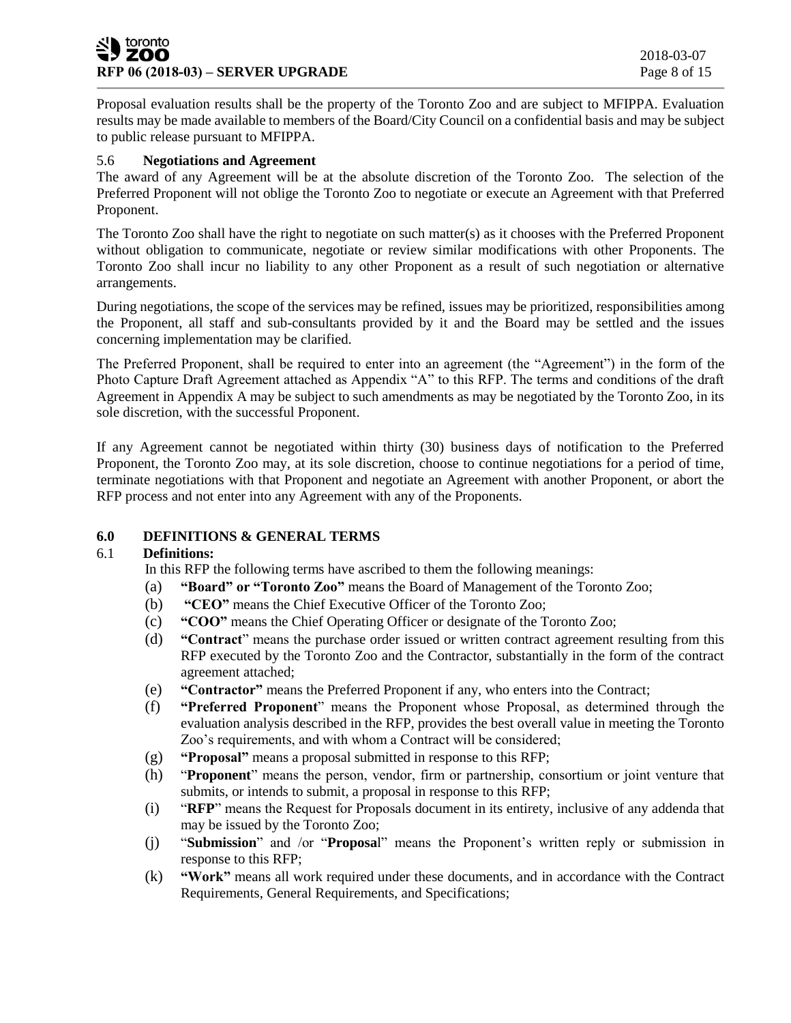### toronto **ZOO RFP 06 (2018-03) – SERVER UPGRADE Page 8 of 15**

Proposal evaluation results shall be the property of the Toronto Zoo and are subject to MFIPPA. Evaluation results may be made available to members of the Board/City Council on a confidential basis and may be subject to public release pursuant to MFIPPA.

#### 5.6 **Negotiations and Agreement**

The award of any Agreement will be at the absolute discretion of the Toronto Zoo. The selection of the Preferred Proponent will not oblige the Toronto Zoo to negotiate or execute an Agreement with that Preferred Proponent.

The Toronto Zoo shall have the right to negotiate on such matter(s) as it chooses with the Preferred Proponent without obligation to communicate, negotiate or review similar modifications with other Proponents. The Toronto Zoo shall incur no liability to any other Proponent as a result of such negotiation or alternative arrangements.

During negotiations, the scope of the services may be refined, issues may be prioritized, responsibilities among the Proponent, all staff and sub-consultants provided by it and the Board may be settled and the issues concerning implementation may be clarified.

The Preferred Proponent, shall be required to enter into an agreement (the "Agreement") in the form of the Photo Capture Draft Agreement attached as Appendix "A" to this RFP. The terms and conditions of the draft Agreement in Appendix A may be subject to such amendments as may be negotiated by the Toronto Zoo, in its sole discretion, with the successful Proponent.

If any Agreement cannot be negotiated within thirty (30) business days of notification to the Preferred Proponent, the Toronto Zoo may, at its sole discretion, choose to continue negotiations for a period of time, terminate negotiations with that Proponent and negotiate an Agreement with another Proponent, or abort the RFP process and not enter into any Agreement with any of the Proponents.

# **6.0 DEFINITIONS & GENERAL TERMS**

#### 6.1 **Definitions:**

In this RFP the following terms have ascribed to them the following meanings:

- (a) **"Board" or "Toronto Zoo"** means the Board of Management of the Toronto Zoo;
- (b) **"CEO"** means the Chief Executive Officer of the Toronto Zoo;
- (c) **"COO"** means the Chief Operating Officer or designate of the Toronto Zoo;
- (d) **"Contract**" means the purchase order issued or written contract agreement resulting from this RFP executed by the Toronto Zoo and the Contractor, substantially in the form of the contract agreement attached;
- (e) **"Contractor"** means the Preferred Proponent if any, who enters into the Contract;
- (f) **"Preferred Proponent**" means the Proponent whose Proposal, as determined through the evaluation analysis described in the RFP, provides the best overall value in meeting the Toronto Zoo's requirements, and with whom a Contract will be considered;
- (g) **"Proposal"** means a proposal submitted in response to this RFP;
- (h) "**Proponent**" means the person, vendor, firm or partnership, consortium or joint venture that submits, or intends to submit, a proposal in response to this RFP;
- (i) "**RFP**" means the Request for Proposals document in its entirety, inclusive of any addenda that may be issued by the Toronto Zoo;
- (j) "**Submission**" and /or "**Proposa**l" means the Proponent's written reply or submission in response to this RFP;
- (k) **"Work"** means all work required under these documents, and in accordance with the Contract Requirements, General Requirements, and Specifications;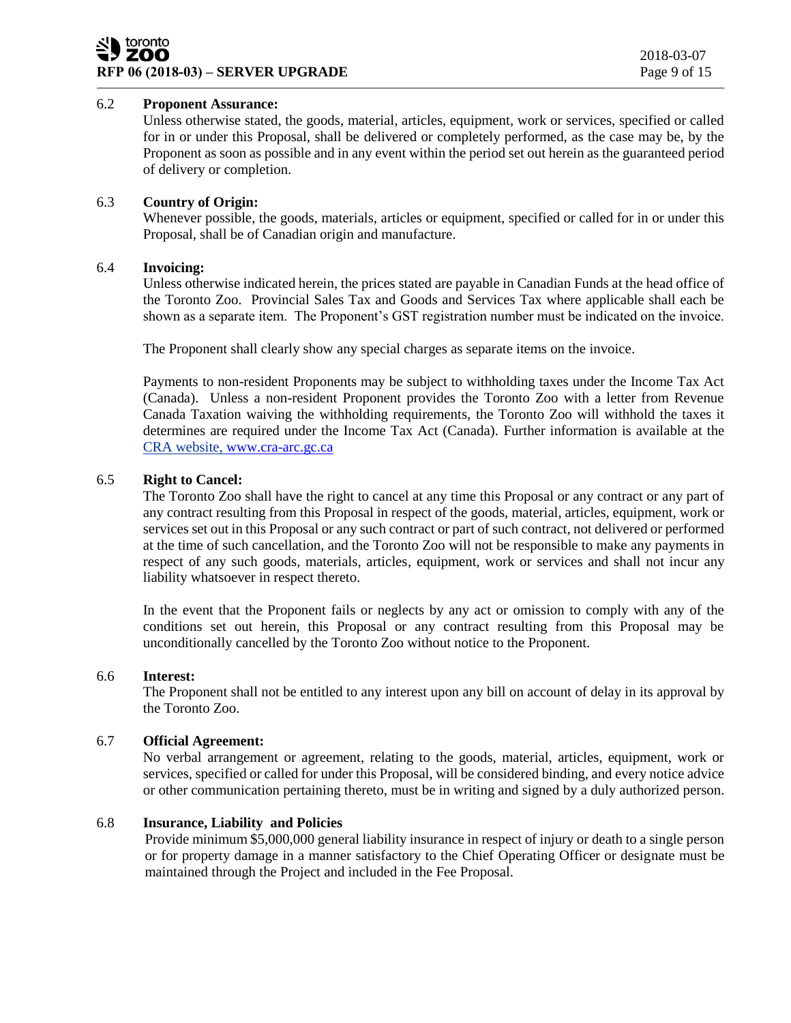# 6.2 **Proponent Assurance:**

Unless otherwise stated, the goods, material, articles, equipment, work or services, specified or called for in or under this Proposal, shall be delivered or completely performed, as the case may be, by the Proponent as soon as possible and in any event within the period set out herein as the guaranteed period of delivery or completion.

# 6.3 **Country of Origin:**

Whenever possible, the goods, materials, articles or equipment, specified or called for in or under this Proposal, shall be of Canadian origin and manufacture.

### 6.4 **Invoicing:**

Unless otherwise indicated herein, the prices stated are payable in Canadian Funds at the head office of the Toronto Zoo. Provincial Sales Tax and Goods and Services Tax where applicable shall each be shown as a separate item. The Proponent's GST registration number must be indicated on the invoice.

The Proponent shall clearly show any special charges as separate items on the invoice.

Payments to non-resident Proponents may be subject to withholding taxes under the Income Tax Act (Canada). Unless a non-resident Proponent provides the Toronto Zoo with a letter from Revenue Canada Taxation waiving the withholding requirements, the Toronto Zoo will withhold the taxes it determines are required under the Income Tax Act (Canada). Further information is available at the CRA website, [www.cra-arc.gc.ca](http://www.cra-arc.gc.ca/)

### 6.5 **Right to Cancel:**

The Toronto Zoo shall have the right to cancel at any time this Proposal or any contract or any part of any contract resulting from this Proposal in respect of the goods, material, articles, equipment, work or services set out in this Proposal or any such contract or part of such contract, not delivered or performed at the time of such cancellation, and the Toronto Zoo will not be responsible to make any payments in respect of any such goods, materials, articles, equipment, work or services and shall not incur any liability whatsoever in respect thereto.

In the event that the Proponent fails or neglects by any act or omission to comply with any of the conditions set out herein, this Proposal or any contract resulting from this Proposal may be unconditionally cancelled by the Toronto Zoo without notice to the Proponent.

### 6.6 **Interest:**

The Proponent shall not be entitled to any interest upon any bill on account of delay in its approval by the Toronto Zoo.

# 6.7 **Official Agreement:**

No verbal arrangement or agreement, relating to the goods, material, articles, equipment, work or services, specified or called for under this Proposal, will be considered binding, and every notice advice or other communication pertaining thereto, must be in writing and signed by a duly authorized person.

# 6.8 **Insurance, Liability and Policies**

Provide minimum \$5,000,000 general liability insurance in respect of injury or death to a single person or for property damage in a manner satisfactory to the Chief Operating Officer or designate must be maintained through the Project and included in the Fee Proposal.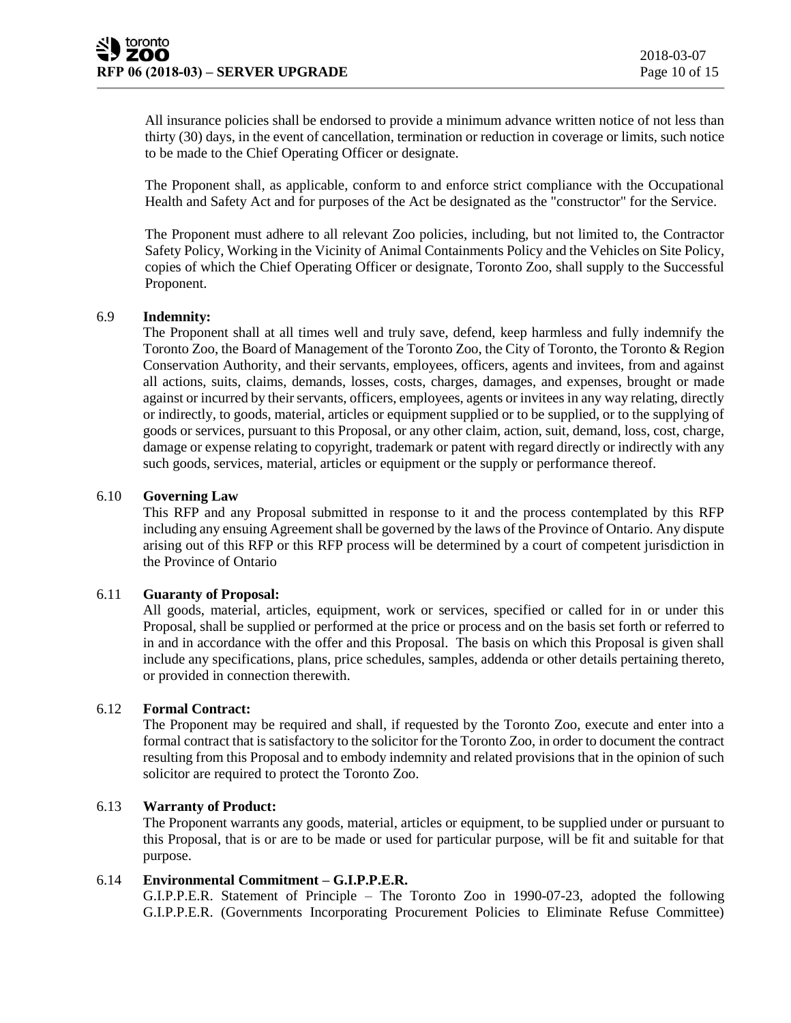All insurance policies shall be endorsed to provide a minimum advance written notice of not less than thirty (30) days, in the event of cancellation, termination or reduction in coverage or limits, such notice to be made to the Chief Operating Officer or designate.

The Proponent shall, as applicable, conform to and enforce strict compliance with the Occupational Health and Safety Act and for purposes of the Act be designated as the "constructor" for the Service.

The Proponent must adhere to all relevant Zoo policies, including, but not limited to, the Contractor Safety Policy, Working in the Vicinity of Animal Containments Policy and the Vehicles on Site Policy, copies of which the Chief Operating Officer or designate, Toronto Zoo, shall supply to the Successful Proponent.

#### 6.9 **Indemnity:**

The Proponent shall at all times well and truly save, defend, keep harmless and fully indemnify the Toronto Zoo, the Board of Management of the Toronto Zoo, the City of Toronto, the Toronto & Region Conservation Authority, and their servants, employees, officers, agents and invitees, from and against all actions, suits, claims, demands, losses, costs, charges, damages, and expenses, brought or made against or incurred by their servants, officers, employees, agents or invitees in any way relating, directly or indirectly, to goods, material, articles or equipment supplied or to be supplied, or to the supplying of goods or services, pursuant to this Proposal, or any other claim, action, suit, demand, loss, cost, charge, damage or expense relating to copyright, trademark or patent with regard directly or indirectly with any such goods, services, material, articles or equipment or the supply or performance thereof.

#### 6.10 **Governing Law**

This RFP and any Proposal submitted in response to it and the process contemplated by this RFP including any ensuing Agreement shall be governed by the laws of the Province of Ontario. Any dispute arising out of this RFP or this RFP process will be determined by a court of competent jurisdiction in the Province of Ontario

#### 6.11 **Guaranty of Proposal:**

All goods, material, articles, equipment, work or services, specified or called for in or under this Proposal, shall be supplied or performed at the price or process and on the basis set forth or referred to in and in accordance with the offer and this Proposal. The basis on which this Proposal is given shall include any specifications, plans, price schedules, samples, addenda or other details pertaining thereto, or provided in connection therewith.

### 6.12 **Formal Contract:**

The Proponent may be required and shall, if requested by the Toronto Zoo, execute and enter into a formal contract that is satisfactory to the solicitor for the Toronto Zoo, in order to document the contract resulting from this Proposal and to embody indemnity and related provisions that in the opinion of such solicitor are required to protect the Toronto Zoo.

#### 6.13 **Warranty of Product:**

The Proponent warrants any goods, material, articles or equipment, to be supplied under or pursuant to this Proposal, that is or are to be made or used for particular purpose, will be fit and suitable for that purpose.

#### 6.14 **Environmental Commitment – G.I.P.P.E.R.**

G.I.P.P.E.R. Statement of Principle – The Toronto Zoo in 1990-07-23, adopted the following G.I.P.P.E.R. (Governments Incorporating Procurement Policies to Eliminate Refuse Committee)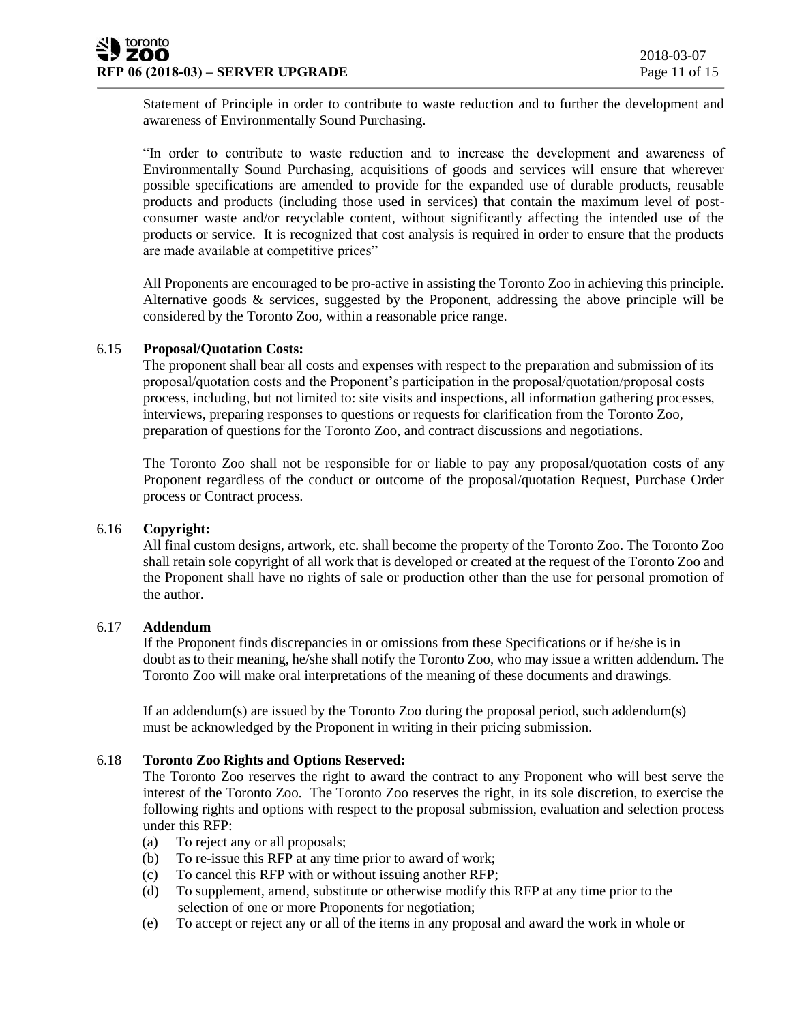Statement of Principle in order to contribute to waste reduction and to further the development and awareness of Environmentally Sound Purchasing.

"In order to contribute to waste reduction and to increase the development and awareness of Environmentally Sound Purchasing, acquisitions of goods and services will ensure that wherever possible specifications are amended to provide for the expanded use of durable products, reusable products and products (including those used in services) that contain the maximum level of postconsumer waste and/or recyclable content, without significantly affecting the intended use of the products or service. It is recognized that cost analysis is required in order to ensure that the products are made available at competitive prices"

All Proponents are encouraged to be pro-active in assisting the Toronto Zoo in achieving this principle. Alternative goods & services, suggested by the Proponent, addressing the above principle will be considered by the Toronto Zoo, within a reasonable price range.

# 6.15 **Proposal/Quotation Costs:**

The proponent shall bear all costs and expenses with respect to the preparation and submission of its proposal/quotation costs and the Proponent's participation in the proposal/quotation/proposal costs process, including, but not limited to: site visits and inspections, all information gathering processes, interviews, preparing responses to questions or requests for clarification from the Toronto Zoo, preparation of questions for the Toronto Zoo, and contract discussions and negotiations.

The Toronto Zoo shall not be responsible for or liable to pay any proposal/quotation costs of any Proponent regardless of the conduct or outcome of the proposal/quotation Request, Purchase Order process or Contract process.

#### 6.16 **Copyright:**

All final custom designs, artwork, etc. shall become the property of the Toronto Zoo. The Toronto Zoo shall retain sole copyright of all work that is developed or created at the request of the Toronto Zoo and the Proponent shall have no rights of sale or production other than the use for personal promotion of the author.

#### 6.17 **Addendum**

If the Proponent finds discrepancies in or omissions from these Specifications or if he/she is in doubt as to their meaning, he/she shall notify the Toronto Zoo, who may issue a written addendum. The Toronto Zoo will make oral interpretations of the meaning of these documents and drawings.

If an addendum(s) are issued by the Toronto Zoo during the proposal period, such addendum(s) must be acknowledged by the Proponent in writing in their pricing submission.

## 6.18 **Toronto Zoo Rights and Options Reserved:**

The Toronto Zoo reserves the right to award the contract to any Proponent who will best serve the interest of the Toronto Zoo. The Toronto Zoo reserves the right, in its sole discretion, to exercise the following rights and options with respect to the proposal submission, evaluation and selection process under this RFP:

- (a) To reject any or all proposals;
- (b) To re-issue this RFP at any time prior to award of work;
- (c) To cancel this RFP with or without issuing another RFP;
- (d) To supplement, amend, substitute or otherwise modify this RFP at any time prior to the selection of one or more Proponents for negotiation;
- (e) To accept or reject any or all of the items in any proposal and award the work in whole or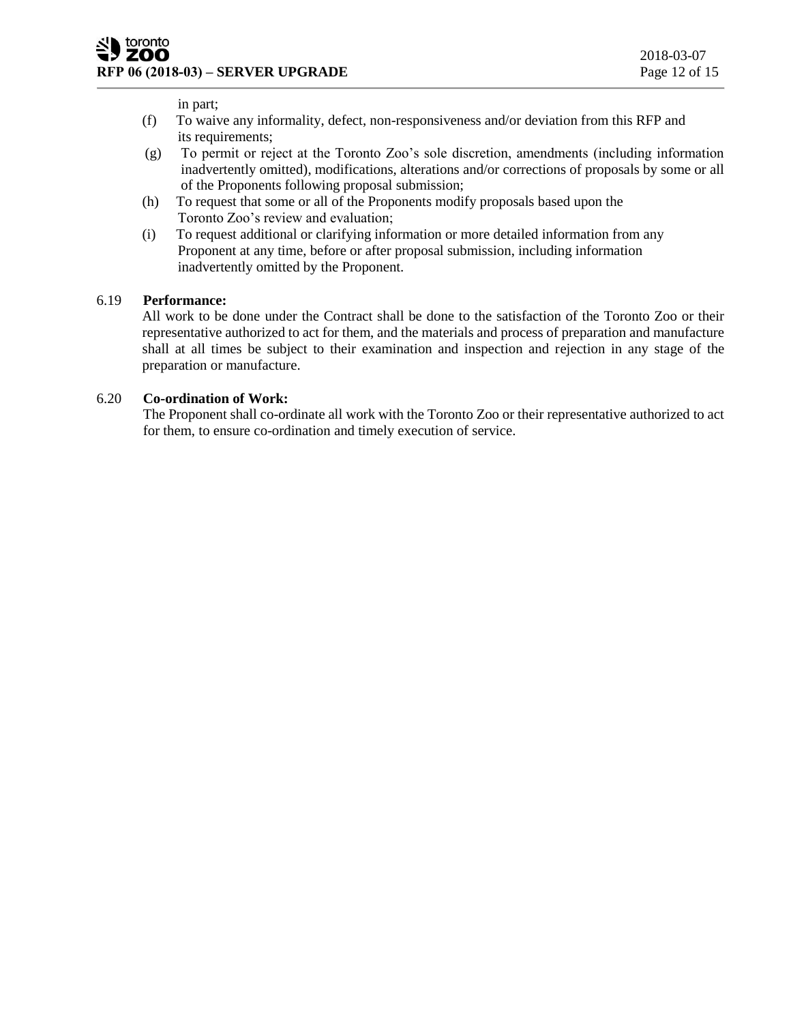in part;

- (f) To waive any informality, defect, non-responsiveness and/or deviation from this RFP and its requirements;
- (g) To permit or reject at the Toronto Zoo's sole discretion, amendments (including information inadvertently omitted), modifications, alterations and/or corrections of proposals by some or all of the Proponents following proposal submission;
- (h) To request that some or all of the Proponents modify proposals based upon the Toronto Zoo's review and evaluation;
- (i) To request additional or clarifying information or more detailed information from any Proponent at any time, before or after proposal submission, including information inadvertently omitted by the Proponent.

# 6.19 **Performance:**

All work to be done under the Contract shall be done to the satisfaction of the Toronto Zoo or their representative authorized to act for them, and the materials and process of preparation and manufacture shall at all times be subject to their examination and inspection and rejection in any stage of the preparation or manufacture.

# 6.20 **Co-ordination of Work:**

The Proponent shall co-ordinate all work with the Toronto Zoo or their representative authorized to act for them, to ensure co-ordination and timely execution of service.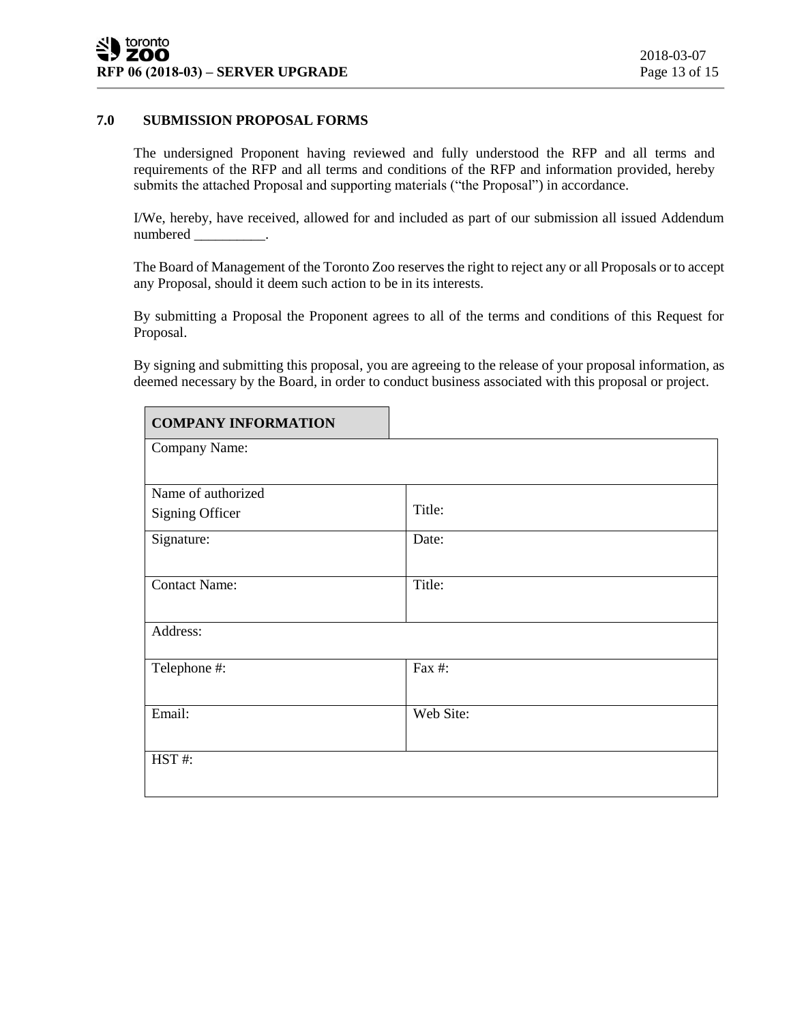# **7.0 SUBMISSION PROPOSAL FORMS**

The undersigned Proponent having reviewed and fully understood the RFP and all terms and requirements of the RFP and all terms and conditions of the RFP and information provided, hereby submits the attached Proposal and supporting materials ("the Proposal") in accordance.

I/We, hereby, have received, allowed for and included as part of our submission all issued Addendum numbered \_\_\_\_\_\_\_\_\_\_.

The Board of Management of the Toronto Zoo reserves the right to reject any or all Proposals or to accept any Proposal, should it deem such action to be in its interests.

By submitting a Proposal the Proponent agrees to all of the terms and conditions of this Request for Proposal.

By signing and submitting this proposal, you are agreeing to the release of your proposal information, as deemed necessary by the Board, in order to conduct business associated with this proposal or project.

| <b>COMPANY INFORMATION</b> |           |  |
|----------------------------|-----------|--|
| Company Name:              |           |  |
|                            |           |  |
| Name of authorized         |           |  |
| <b>Signing Officer</b>     | Title:    |  |
| Signature:                 | Date:     |  |
|                            |           |  |
| <b>Contact Name:</b>       | Title:    |  |
|                            |           |  |
| Address:                   |           |  |
|                            |           |  |
| Telephone #:               | Fax #:    |  |
|                            |           |  |
| Email:                     | Web Site: |  |
|                            |           |  |
| HST#:                      |           |  |
|                            |           |  |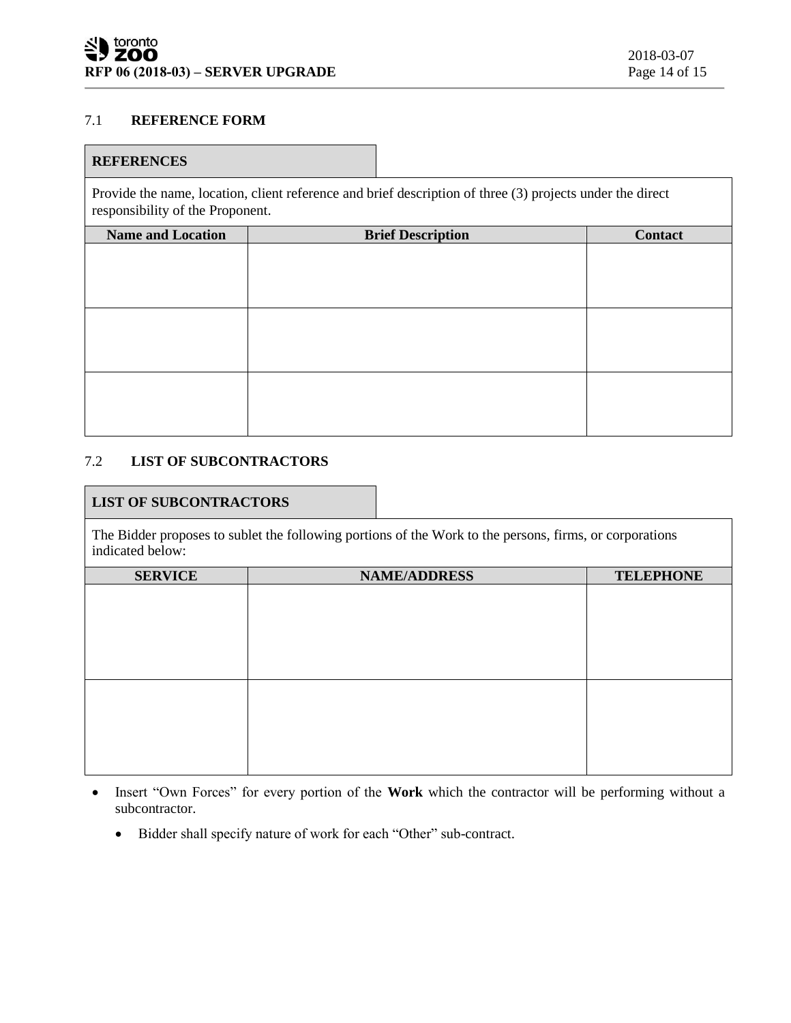# 7.1 **REFERENCE FORM**

# **REFERENCES**

Provide the name, location, client reference and brief description of three (3) projects under the direct responsibility of the Proponent.

| <b>Name and Location</b> | <b>Brief Description</b> | <b>Contact</b> |
|--------------------------|--------------------------|----------------|
|                          |                          |                |
|                          |                          |                |
|                          |                          |                |
|                          |                          |                |
|                          |                          |                |
|                          |                          |                |
|                          |                          |                |
|                          |                          |                |
|                          |                          |                |

# 7.2 **LIST OF SUBCONTRACTORS**

### **LIST OF SUBCONTRACTORS**

The Bidder proposes to sublet the following portions of the Work to the persons, firms, or corporations indicated below:

| <b>SERVICE</b> | <b>NAME/ADDRESS</b> | <b>TELEPHONE</b> |
|----------------|---------------------|------------------|
|                |                     |                  |
|                |                     |                  |
|                |                     |                  |
|                |                     |                  |
|                |                     |                  |
|                |                     |                  |
|                |                     |                  |
|                |                     |                  |
|                |                     |                  |
|                |                     |                  |
|                |                     |                  |
|                |                     |                  |

- Insert "Own Forces" for every portion of the **Work** which the contractor will be performing without a subcontractor.
	- Bidder shall specify nature of work for each "Other" sub-contract.